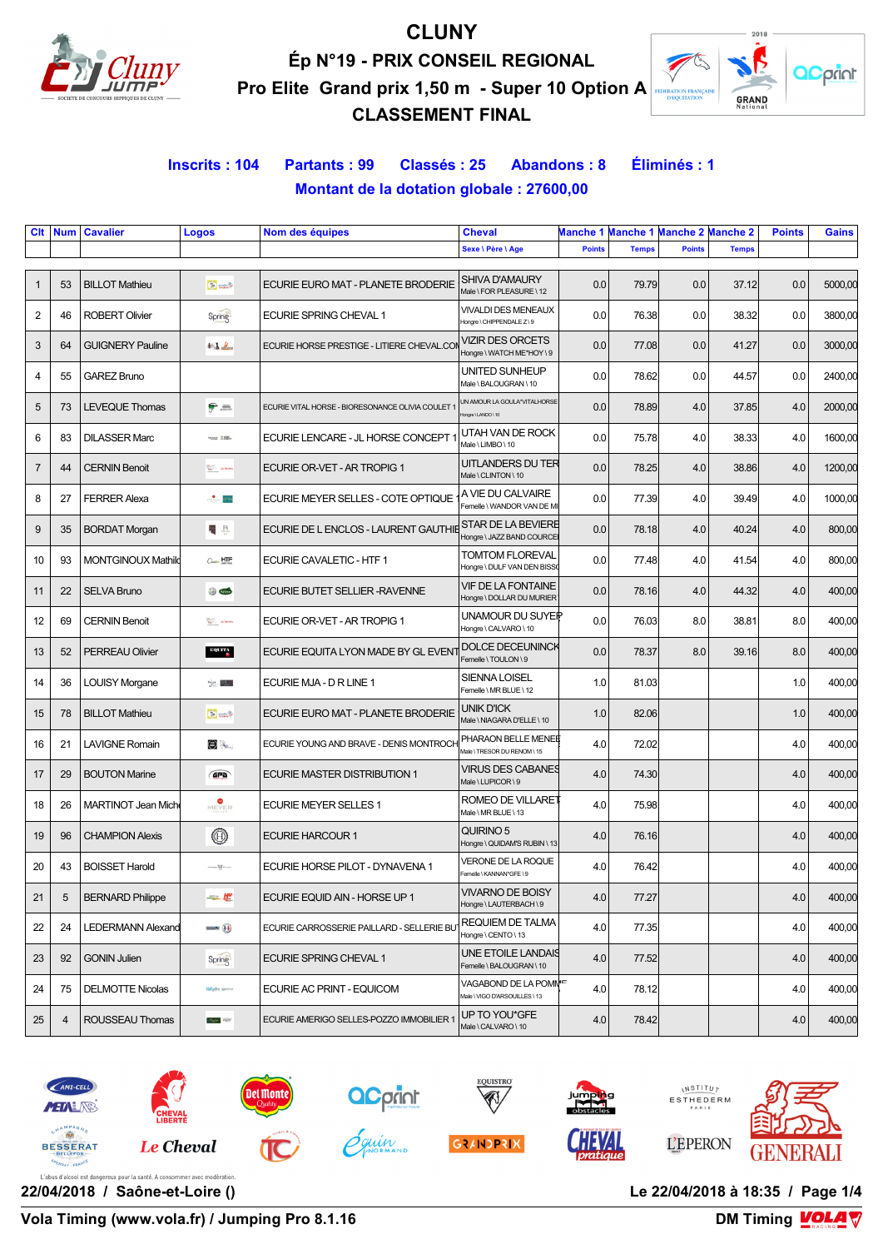

# **CLUNY Ép N°19 - PRIX CONSEIL REGIONAL Pro Elite Grand prix 1,50 m - Super 10 Option A**

**CLASSEMENT FINAL**



## **Inscrits : 104 Partants : 99 Classés : 25 Abandons : 8 Éliminés : 1 Montant de la dotation globale : 27600,00**

| Clt            | <b>Num</b>     | <b>Cavalier</b>           | Logos                         | Nom des équipes                                   | <b>Cheval</b>                                                      |               | Manche 1 Manche 1 Manche 2 Manche 2 |               |              | <b>Points</b> | Gains   |
|----------------|----------------|---------------------------|-------------------------------|---------------------------------------------------|--------------------------------------------------------------------|---------------|-------------------------------------|---------------|--------------|---------------|---------|
|                |                |                           |                               |                                                   | Sexe \ Père \ Age                                                  | <b>Points</b> | <b>Temps</b>                        | <b>Points</b> | <b>Temps</b> |               |         |
| $\mathbf{1}$   | 53             | <b>BILLOT Mathieu</b>     | <b>Bung</b>                   | ECURIE EURO MAT - PLANETE BRODERIE                | SHIVA D'AMAURY<br>Male \ FOR PLEASURE \ 12                         | 0.0           | 79.79                               | 0.0           | 37.12        | 0.0           | 5000,00 |
| $\overline{2}$ | 46             | <b>ROBERT Olivier</b>     | Spring                        | ECURIE SPRING CHEVAL 1                            | <b>VIVALDI DES MENEAUX</b><br>Hongre \ CHIPPENDALE Z \ 9           | 0.0           | 76.38                               | 0.0           | 38.32        | 0.0           | 3800,00 |
| 3              | 64             | <b>GUIGNERY Pauline</b>   | $46$ $\Delta$ $\Delta$ $\sim$ | ECURIE HORSE PRESTIGE - LITIERE CHEVAL.COI        | VIZIR DES ORCETS<br>Hongre \ WATCH ME*HOY \ 9                      | 0.0           | 77.08                               | 0.0           | 41.27        | 0.0           | 3000,00 |
| 4              | 55             | <b>GAREZ Bruno</b>        |                               |                                                   | UNITED SUNHEUP<br>Male \ BALOUGRAN \ 10                            | 0.0           | 78.62                               | 0.0           | 44.57        | 0.0           | 2400,00 |
| 5              | 73             | <b>LEVEQUE Thomas</b>     | 宁蓝                            | ECURIE VITAL HORSE - BIORESONANCE OLIVIA COULET * | UN AMOUR LA GOULA*VITALHORSE<br>fongre \ LANDO \ 10                | 0.0           | 78.89                               | 4.0           | 37.85        | 4.0           | 2000,00 |
| 6              | 83             | <b>DILASSER Marc</b>      | <b>WORK JUST</b>              | ECURIE LENCARE - JL HORSE CONCEPT *               | UTAH VAN DE ROCK<br>Male \ LIMBO \ 10                              | 0.0           | 75.78                               | 4.0           | 38.33        | 4.0           | 1600,00 |
| $\overline{7}$ | 44             | <b>CERNIN Benoit</b>      | Vir <sup>2</sup> at nors      | ECURIE OR-VET - AR TROPIG 1                       | UITLANDERS DU TER<br>Male \ CLINTON \ 10                           | 0.0           | 78.25                               | 4.0           | 38.86        | 4.0           | 1200,00 |
| 8              | 27             | <b>FERRER Alexa</b>       | <b>MEYER</b> OTO              | ECURIE MEYER SELLES - COTE OPTIQUE                | A VIE DU CALVAIRE<br>Femelle \ WANDOR VAN DE MI                    | 0.0           | 77.39                               | 4.0           | 39.49        | 4.0           | 1000,00 |
| 9              | 35             | <b>BORDAT Morgan</b>      | $R_{\odot}$                   | ECURIE DE L ENCLOS - LAURENT GAUTHIE              | STAR DE LA BEVIERE<br>Hongre \ JAZZ BAND COURCE                    | 0.0           | 78.18                               | 4.0           | 40.24        | 4.0           | 800,00  |
| 10             | 93             | <b>MONTGINOUX Mathild</b> | $C_{\text{max}}$ HTF          | ECURIE CAVALETIC - HTF 1                          | <b>TOMTOM FLOREVAL</b><br>Hongre \ DULF VAN DEN BISS               | 0.0           | 77.48                               | 4.0           | 41.54        | 4.0           | 800,00  |
| 11             | 22             | <b>SELVA Bruno</b>        | $\circledcirc$                | ECURIE BUTET SELLIER-RAVENNE                      | <b>VIF DE LA FONTAINE</b><br>Hongre \ DOLLAR DU MURIER             | 0.0           | 78.16                               | 4.0           | 44.32        | 4.0           | 400,00  |
| 12             | 69             | <b>CERNIN Benoit</b>      | VIT <sup>h</sup> armora       | ECURIE OR-VET - AR TROPIG 1                       | UNAMOUR DU SUYEIP<br>Hongre \ CALVARO \ 10                         | 0.0           | 76.03                               | 8.0           | 38.81        | 8.0           | 400,00  |
| 13             | 52             | <b>PERREAU Olivier</b>    | EQUITY                        | ECURIE EQUITA LYON MADE BY GL EVENT               | DOLCE DECEUNINCK<br>Femelle \TOULON\9                              | 0.0           | 78.37                               | 8.0           | 39.16        | 8.0           | 400,00  |
| 14             | 36             | <b>LOUISY Morgane</b>     | $A_1$ $\alpha$ <b>DR-1</b>    | ECURIE MJA - D R LINE 1                           | SIENNA LOISEL<br>Femelle \ MR BLUE \ 12                            | 1.0           | 81.03                               |               |              | 1.0           | 400,00  |
| 15             | 78             | <b>BILLOT Mathieu</b>     | <b>Bung</b>                   | ECURIE EURO MAT - PLANETE BRODERIE                | UNIK D'ICK<br>Male \NIAGARA D'ELLE \10                             | 1.0           | 82.06                               |               |              | 1.0           | 400,00  |
| 16             | 21             | <b>LAVIGNE Romain</b>     | $\bigcirc$                    | ECURIE YOUNG AND BRAVE - DENIS MONTROCH           | PHARAON BELLE MENEE<br>Male \TRESOR DU RENOM \15                   | 4.0           | 72.02                               |               |              | 4.0           | 400,00  |
| 17             | 29             | <b>BOUTON Marine</b>      | GPB                           | <b>ECURIE MASTER DISTRIBUTION 1</b>               | VIRUS DES CABANES<br>Male \ LUPICOR \ 9                            | 4.0           | 74.30                               |               |              | 4.0           | 400,00  |
| 18             | 26             | <b>MARTINOT Jean Mich</b> | MEYER                         | <b>ECURIE MEYER SELLES 1</b>                      | <b>ROMEO DE VILLARET</b><br>Male \ MR BLUE \ 13                    | 4.0           | 75.98                               |               |              | 4.0           | 400,00  |
| 19             | 96             | <b>CHAMPION Alexis</b>    | $^\circledR$                  | <b>ECURIE HARCOUR 1</b>                           | QUIRINO 5<br>Hongre \ QUIDAM'S RUBIN \ 13                          | 4.0           | 76.16                               |               |              | 4.0           | 400,00  |
| 20             | 43             | <b>BOISSET Harold</b>     | HORSE OF PILOT                | ECURIE HORSE PILOT - DYNAVENA 1                   | <b>VERONE DE LA ROQUE</b><br>Femelle \ KANNAN*GFE\9                | 4.0           | 76.42                               |               |              | 4.0           | 400,00  |
| 21             | 5              | <b>BERNARD Philippe</b>   | 一览                            | ECURIE EQUID AIN - HORSE UP 1                     | <b>VIVARNO DE BOISY</b><br>Hongre \ LAUTERBACH \ 9                 | 4.0           | 77.27                               |               |              | 4.0           | 400,00  |
| 22             | 24             | LEDERMANN Alexand         | $\frac{1}{2}$                 | ECURIE CARROSSERIE PAILLARD - SELLERIE BU         | REQUIEM DE TALMA<br>Hongre \ CENTO \ 13                            | 4.0           | 77.35                               |               |              | 4.0           | 400,00  |
| 23             | 92             | <b>GONIN Julien</b>       | Spring                        | ECURIE SPRING CHEVAL 1                            | UNE ETOILE LANDAIS<br>Femelle \BALOUGRAN \ 10                      | 4.0           | 77.52                               |               |              | 4.0           | 400,00  |
| 24             | 75             | <b>DELMOTTE Nicolas</b>   | <b>acpier</b> ISSNOW          | ECURIE AC PRINT - EQUICOM                         | VAGABOND DE LA POMM <sup>IF</sup><br>Male \ VIGO D'ARSOUILLES \ 13 | 4.0           | 78.12                               |               |              | 4.0           | 400,00  |
| 25             | $\overline{4}$ | ROUSSEAU Thomas           |                               | ECURIE AMERIGO SELLES-POZZO IMMOBILIER 1          | UP TO YOU*GFE<br>Male \ CALVARO \ 10                               | 4.0           | 78.42                               |               |              | 4.0           | 400,00  |





**GRANDPRIX** 





**22/04/2018 / Saône-et-Loire () Le 22/04/2018 à 18:35 / Page 1/4**

**Vola Timing (www.vola.fr) / Jumping Pro 8.1.16** 

**DM Timing VOLA V**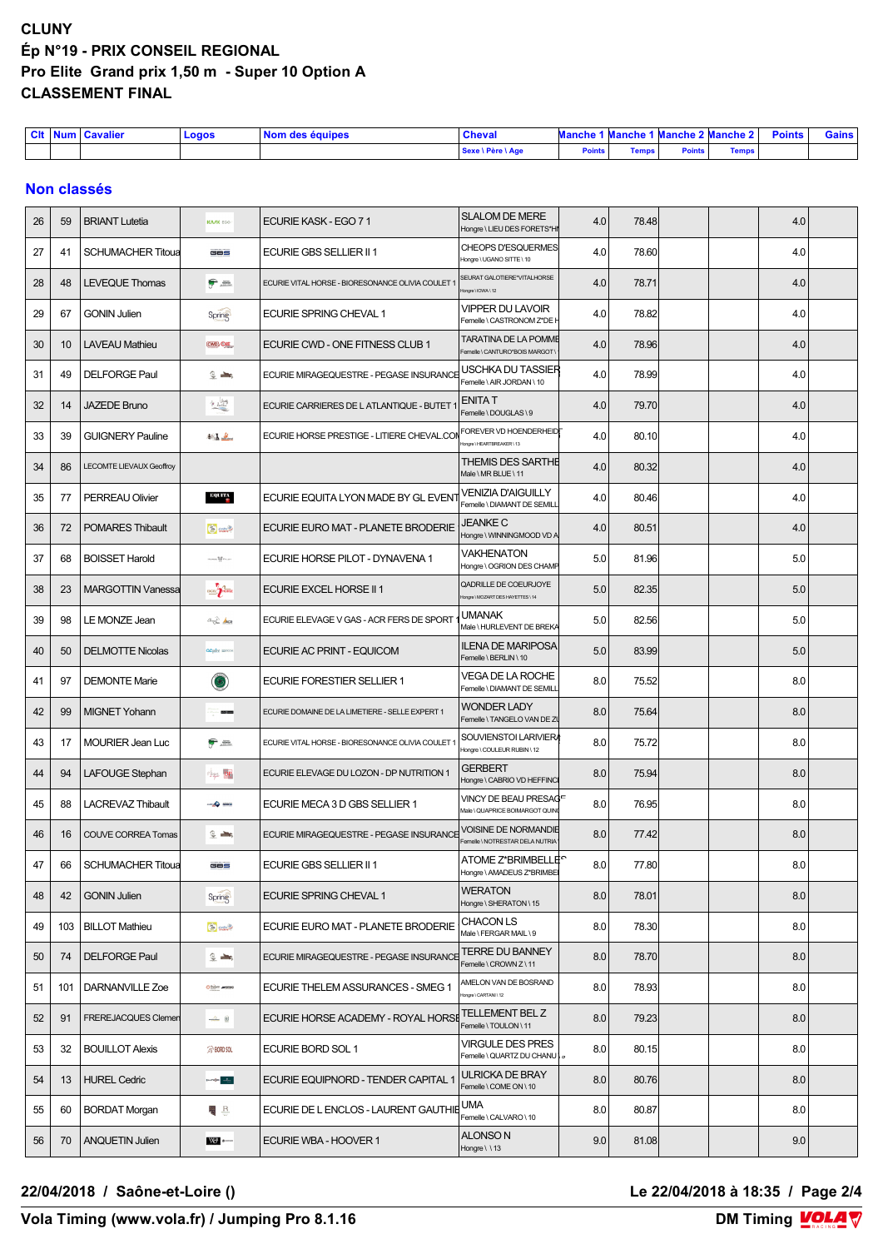## **CLUNY Ép N°19 - PRIX CONSEIL REGIONAL Pro Elite Grand prix 1,50 m - Super 10 Option A CLASSEMENT FINAL**

| <b>CIt</b> | <b>TAL</b> | $\sim$<br>⊟Num I Cavalier ∶ | Logos | l Nom des équipes | <b>Cheval</b>     |               | ٠м.<br>unche | .<br>1 Manche | .<br>anche 2 Manche 2 | <b>Dointe</b><br>Points | <b>Gains</b> |
|------------|------------|-----------------------------|-------|-------------------|-------------------|---------------|--------------|---------------|-----------------------|-------------------------|--------------|
|            |            |                             |       |                   | Sexe \ Père \ Age | <b>Points</b> | <b>Temps</b> | <b>Points</b> | <b>Temps</b>          |                         |              |

### **Non classés**

| 26 | 59  | <b>BRIANT</b> Lutetia           | <b>KA/K EGO</b>                                   | ECURIE KASK - EGO 71                                    | <b>SLALOM DE MERE</b><br>Hongre \ LIEU DES FORETS*HI                | 4.0 | 78.48 |  | 4.0 |  |
|----|-----|---------------------------------|---------------------------------------------------|---------------------------------------------------------|---------------------------------------------------------------------|-----|-------|--|-----|--|
| 27 | 41  | <b>SCHUMACHER Titoua</b>        | GBS                                               | ECURIE GBS SELLIER II 1                                 | <b>CHEOPS D'ESQUERMES</b><br>Hongre \ UGANO SITTE \ 10              | 4.0 | 78.60 |  | 4.0 |  |
| 28 | 48  | <b>LEVEQUE Thomas</b>           | ę –                                               | ECURIE VITAL HORSE - BIORESONANCE OLIVIA COULET         | SEURAT GALOTIERE*VITALHORSE<br>fongre \ IOWA \ 12                   | 4.0 | 78.71 |  | 4.0 |  |
| 29 | 67  | <b>GONIN Julien</b>             | Spring                                            | ECURIE SPRING CHEVAL 1                                  | VIPPER DU LAVOIR<br>Femelle \ CASTRONOM Z*DE I                      | 4.0 | 78.82 |  | 4.0 |  |
| 30 | 10  | <b>LAVEAU Mathieu</b>           | CWD <sub>3</sub> ONE                              | ECURIE CWD - ONE FITNESS CLUB 1                         | <b>TARATINA DE LA POMME</b><br>Femelle \ CANTURO*BOIS MARGOT        | 4.0 | 78.96 |  | 4.0 |  |
| 31 | 49  | <b>DELFORGE Paul</b>            | $Q = mc$                                          | ECURIE MIRAGEQUESTRE - PEGASE INSURANCE                 | USCHKA DU TASSIER<br>Femelle \AIR JORDAN \ 10                       | 4.0 | 78.99 |  | 4.0 |  |
| 32 | 14  | <b>JAZEDE Bruno</b>             | $\frac{1}{\sqrt{2}}\cdot\frac{\log n}{\log n}$    | ECURIE CARRIERES DE LATLANTIQUE - BUTET 1               | <b>ENITAT</b><br>Femelle \DOUGLAS\9                                 | 4.0 | 79.70 |  | 4.0 |  |
| 33 | 39  | <b>GUIGNERY Pauline</b>         | $46$ $\frac{1}{2}$                                | ECURIE HORSE PRESTIGE - LITIERE CHEVAL.COM              | FOREVER VD HOENDERHEID<br>ongre \ HEARTBREAKER \ 13                 | 4.0 | 80.10 |  | 4.0 |  |
| 34 | 86  | <b>LECOMTE LIEVAUX Geoffroy</b> |                                                   |                                                         | <b>THEMIS DES SARTHE</b><br>Male \ MR BLUE \ 11                     | 4.0 | 80.32 |  | 4.0 |  |
| 35 | 77  | <b>PERREAU Olivier</b>          | EQUITY                                            | ECURIE EQUITA LYON MADE BY GL EVENT                     | VENIZIA D'AIGUILLY<br>Femelle \ DIAMANT DE SEMILL                   | 4.0 | 80.46 |  | 4.0 |  |
| 36 | 72  | <b>POMARES Thibault</b>         | Sunt                                              | ECURIE EURO MAT - PLANETE BRODERIE                      | <b>JEANKE C</b><br>Hongre \ WINNINGMOOD VD A                        | 4.0 | 80.51 |  | 4.0 |  |
| 37 | 68  | <b>BOISSET Harold</b>           | HORSE OF PILOT                                    | ECURIE HORSE PILOT - DYNAVENA 1                         | VAKHENATON<br>Hongre \ OGRION DES CHAMP                             | 5.0 | 81.96 |  | 5.0 |  |
| 38 | 23  | <b>MARGOTTIN Vanessa</b>        | <b>EXCEL</b>                                      | <b>ECURIE EXCEL HORSE II 1</b>                          | QADRILLE DE COEURJOYE<br>longre \ MOZART DES HAYETTES \ 14          | 5.0 | 82.35 |  | 5.0 |  |
| 39 | 98  | LE MONZE Jean                   | $\overrightarrow{a}$ $\overrightarrow{b}$         | ECURIE ELEVAGE V GAS - ACR FERS DE SPORT                | <b>UMANAK</b><br>Male \ HURLEVENT DE BREKA                          | 5.0 | 82.56 |  | 5.0 |  |
| 40 | 50  | <b>DELMOTTE Nicolas</b>         | <b>acpire</b> assess                              | ECURIE AC PRINT - EQUICOM                               | <b>ILENA DE MARIPOSA</b><br>Femelle \BERLIN\10                      | 5.0 | 83.99 |  | 5.0 |  |
| 41 | 97  | <b>DEMONTE Marie</b>            | $\bullet$                                         | ECURIE FORESTIER SELLIER 1                              | VEGA DE LA ROCHE<br>Femelle \ DIAMANT DE SEMILL                     | 8.0 | 75.52 |  | 8.0 |  |
| 42 | 99  | <b>MIGNET Yohann</b>            | an jum                                            | ECURIE DOMAINE DE LA LIMETIERE - SELLE EXPERT 1         | <b>WONDER LADY</b><br>Femelle \TANGELO VAN DE Z\                    | 8.0 | 75.64 |  | 8.0 |  |
| 43 | 17  | <b>MOURIER Jean Luc</b>         | <del>g</del> a                                    | ECURIE VITAL HORSE - BIORESONANCE OLIVIA COULET         | SOUVIENSTOI LARIVIERA<br>Hongre \ COULEUR RUBIN \ 12                | 8.0 | 75.72 |  | 8.0 |  |
| 44 | 94  | LAFOUGE Stephan                 | <b>DP</b>                                         | ECURIE ELEVAGE DU LOZON - DP NUTRITION 1                | <b>GERBERT</b><br>Hongre \ CABRIO VD HEFFINC                        | 8.0 | 75.94 |  | 8.0 |  |
| 45 | 88  | LACREVAZ Thibault               | <b>THE ONE</b>                                    | ECURIE MECA 3 D GBS SELLIER 1                           | VINCY DE BEAU PRESAG <sup>E</sup><br>Male \ QUAPRICE BOIMARGOT QUIN | 8.0 | 76.95 |  | 8.0 |  |
| 46 | 16  | <b>COUVE CORREA Tomas</b>       | $\mathbb{C}$ and $\mathbb{C}$                     | ECURIE MIRAGEQUESTRE - PEGASE INSURANCE                 | <b>VOISINE DE NORMANDIE</b><br>Femelle \ NOTRESTAR DELA NUTRIA      | 8.0 | 77.42 |  | 8.0 |  |
| 47 | 66  | <b>SCHUMACHER Titoua</b>        | GBS                                               | ECURIE GBS SELLIER II 1                                 | Hongre \ AMADEUS Z*BRIMBEI                                          | 8.0 | 77.80 |  | 8.0 |  |
| 48 | 42  | <b>GONIN Julien</b>             | Spring                                            | ECURIE SPRING CHEVAL 1                                  | <b>WERATON</b><br>Hongre \ SHERATON \ 15                            | 8.0 | 78.01 |  | 8.0 |  |
| 49 | 103 | <b>BILLOT Mathieu</b>           | $\bullet$                                         | ECURIE EURO MAT - PLANETE BRODERIE                      | <b>CHACON LS</b><br>Male \ FERGAR MAIL \ 9                          | 8.0 | 78.30 |  | 8.0 |  |
| 50 | 74  | <b>DELFORGE Paul</b>            | $2 =$                                             | ECURIE MIRAGEQUESTRE - PEGASE INSURANCE TERRE DU BANNEY | Femelle \ CROWN Z \ 11                                              | 8.0 | 78.70 |  | 8.0 |  |
| 51 | 101 | DARNANVILLE Zoe                 | Othern arange                                     | ECURIE THELEM ASSURANCES - SMEG 1                       | AMELON VAN DE BOSRAND<br>fongre \ CARTANI \ 12                      | 8.0 | 78.93 |  | 8.0 |  |
| 52 | 91  | FREREJACQUES Clemen             | $-2$ $ \overline{2}$                              | ECURIE HORSE ACADEMY - ROYAL HORSE                      | <b>TELLEMENT BEL Z</b><br>Femelle \TOULON\11                        | 8.0 | 79.23 |  | 8.0 |  |
| 53 | 32  | <b>BOUILLOT Alexis</b>          | <b>G</b> BORD SOL                                 | ECURIE BORD SOL 1                                       | VIRGULE DES PRES<br>Femelle \ QUARTZ DU CHANU   9                   | 8.0 | 80.15 |  | 8.0 |  |
| 54 | 13  | <b>HUREL Cedric</b>             | <b>School</b> Second                              | ECURIE EQUIPNORD - TENDER CAPITAL                       | <b>ULRICKA DE BRAY</b><br>Femelle \ COME ON \ 10                    | 8.0 | 80.76 |  | 8.0 |  |
| 55 | 60  | <b>BORDAT Morgan</b>            | 覆 旦                                               | ECURIE DE L ENCLOS - LAURENT GAUTHIE UMA                | Femelle \ CALVARO \ 10                                              | 8.0 | 80.87 |  | 8.0 |  |
| 56 | 70  | <b>ANQUETIN Julien</b>          | $\overline{\text{MS}}$ are $\overline{\text{MS}}$ | ECURIE WBA - HOOVER 1                                   | <b>ALONSON</b><br>Hongre \ \13                                      | 9.0 | 81.08 |  | 9.0 |  |

#### **22/04/2018 / Saône-et-Loire () Le 22/04/2018 à 18:35 / Page 2/4**

**Vola Timing (www.vola.fr) / Jumping Pro 8.1.16**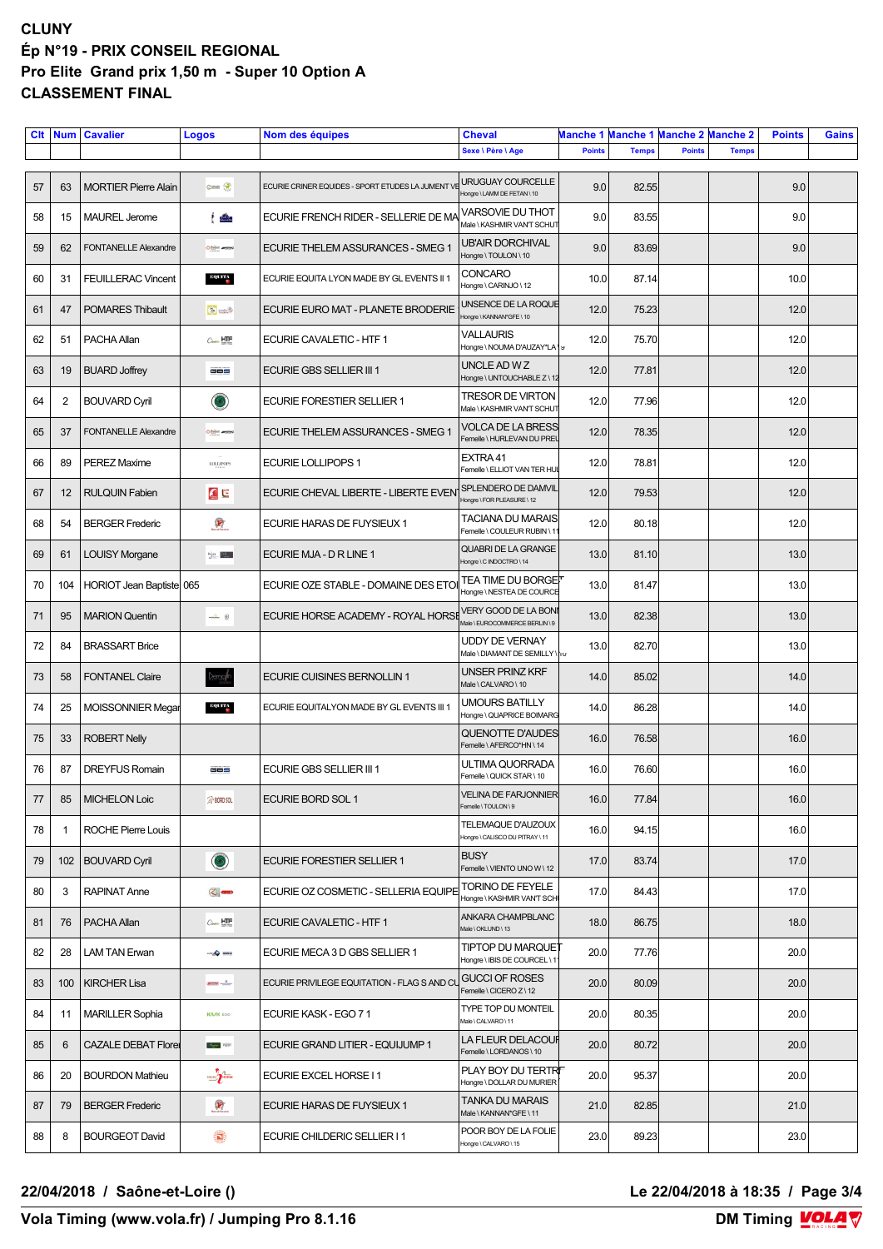## **CLUNY Ép N°19 - PRIX CONSEIL REGIONAL Pro Elite Grand prix 1,50 m - Super 10 Option A CLASSEMENT FINAL**

| Clt | <b>Num</b>     | <b>Cavalier</b>             | <b>Logos</b>                                                                      | Nom des équipes                                  | <b>Cheval</b>                                                 | Manche 1      | Manche 1 Manche 2 Manche 2 |               |              | <b>Points</b> | <b>Gains</b> |
|-----|----------------|-----------------------------|-----------------------------------------------------------------------------------|--------------------------------------------------|---------------------------------------------------------------|---------------|----------------------------|---------------|--------------|---------------|--------------|
|     |                |                             |                                                                                   |                                                  | Sexe \ Père \ Age                                             | <b>Points</b> | <b>Temps</b>               | <b>Points</b> | <b>Temps</b> |               |              |
| 57  | 63             | <b>MORTIER Pierre Alain</b> | Game R                                                                            | ECURIE CRINER EQUIDES - SPORT ETUDES LA JUMENT V | <b>URUGUAY COURCELLE</b><br>Hongre \ LAMM DE FETAN \ 10       | 9.0           | 82.55                      |               |              | 9.0           |              |
| 58  | 15             | <b>MAUREL Jerome</b>        | $\frac{1}{2}$                                                                     | ECURIE FRENCH RIDER - SELLERIE DE MA             | <b>VARSOVIE DU THOT</b><br>Male \ KASHMIR VAN'T SCHUT         | 9.0           | 83.55                      |               |              | 9.0           |              |
| 59  | 62             | <b>FONTANELLE Alexandre</b> | Othern aransa                                                                     | ECURIE THELEM ASSURANCES - SMEG 1                | UB'AIR DORCHIVAL<br>Hongre \TOULON \10                        | 9.0           | 83.69                      |               |              | 9.0           |              |
| 60  | 31             | <b>FEUILLERAC Vincent</b>   | EQUITA                                                                            | ECURIE EQUITA LYON MADE BY GL EVENTS II 1        | CONCARO<br>Hongre \ CARINJO \ 12                              | 10.0          | 87.14                      |               |              | 10.0          |              |
| 61  | 47             | <b>POMARES Thibault</b>     | Gund                                                                              | ECURIE EURO MAT - PLANETE BRODERIE               | UNSENCE DE LA ROQUE<br>Hongre \ KANNAN*GFE \ 10               | 12.0          | 75.23                      |               |              | 12.0          |              |
| 62  | 51             | PACHA Allan                 | $C_{\text{max}}$ HTF                                                              | ECURIE CAVALETIC - HTF 1                         | <b>VALLAURIS</b><br>Hongre \ NOUMA D'AUZAY*LA   9             | 12.0          | 75.70                      |               |              | 12.0          |              |
| 63  | 19             | <b>BUARD Joffrey</b>        | GBS                                                                               | <b>ECURIE GBS SELLIER III 1</b>                  | UNCLE AD W Z<br>Hongre \ UNTOUCHABLE Z \ 12                   | 12.0          | 77.81                      |               |              | 12.0          |              |
| 64  | $\overline{2}$ | <b>BOUVARD Cyril</b>        | $\odot$                                                                           | ECURIE FORESTIER SELLIER 1                       | <b>TRESOR DE VIRTON</b><br>Male \ KASHMIR VAN'T SCHUT         | 12.0          | 77.96                      |               |              | 12.0          |              |
| 65  | 37             | <b>FONTANELLE Alexandre</b> | Othern arange                                                                     | ECURIE THELEM ASSURANCES - SMEG 1                | VOLCA DE LA BRESS<br>Femelle \ HURLEVAN DU PREI               | 12.0          | 78.35                      |               |              | 12.0          |              |
| 66  | 89             | <b>PEREZ Maxime</b>         | <b>LOLLIPOPS</b>                                                                  | <b>ECURIE LOLLIPOPS 1</b>                        | EXTRA 41<br>Femelle \ ELLIOT VAN TER HU                       | 12.0          | 78.81                      |               |              | 12.0          |              |
| 67  | 12             | <b>RULQUIN Fabien</b>       | $\mathcal{O}$ to                                                                  | ECURIE CHEVAL LIBERTE - LIBERTE EVENT            | SPLENDERO DE DAMVIL<br>Hongre \ FOR PLEASURE \ 12             | 12.0          | 79.53                      |               |              | 12.0          |              |
| 68  | 54             | <b>BERGER Frederic</b>      | $\mathbf{F}$                                                                      | ECURIE HARAS DE FUYSIEUX 1                       | TACIANA DU MARAIS<br>Femelle \ COULEUR RUBIN \1               | 12.0          | 80.18                      |               |              | 12.0          |              |
| 69  | 61             | <b>LOUISY Morgane</b>       | $\binom{n}{2}$ $\alpha$ $\beta$ $\beta$ $\beta$                                   | ECURIE MJA - D R LINE 1                          | QUABRI DE LA GRANGE<br>Hongre \ C INDOCTRO \ 14               | 13.0          | 81.10                      |               |              | 13.0          |              |
| 70  | 104            | HORIOT Jean Baptiste 065    |                                                                                   | ECURIE OZE STABLE - DOMAINE DES ETO              | <b>TEA TIME DU BORGET</b><br>Hongre \ NESTEA DE COURCE        | 13.0          | 81.47                      |               |              | 13.0          |              |
| 71  | 95             | <b>MARION Quentin</b>       | $\rightarrow \infty$                                                              | ECURIE HORSE ACADEMY - ROYAL HORSE               | <b>VERY GOOD DE LA BONI</b><br>Male \ EUROCOMMERCE BERLIN \9  | 13.0          | 82.38                      |               |              | 13.0          |              |
| 72  | 84             | <b>BRASSART Brice</b>       |                                                                                   |                                                  | <b>UDDY DE VERNAY</b><br>Male \ DIAMANT DE SEMILLY \ 10       | 13.0          | 82.70                      |               |              | 13.0          |              |
| 73  | 58             | <b>FONTANEL Claire</b>      | )emol <sup>l</sup> n                                                              | ECURIE CUISINES BERNOLLIN 1                      | UNSER PRINZ KRF<br>Male \ CALVARO \ 10                        | 14.0          | 85.02                      |               |              | 14.0          |              |
| 74  | 25             | MOISSONNIER Megar           | EQUITA                                                                            | ECURIE EQUITALYON MADE BY GL EVENTS III 1        | <b>UMOURS BATILLY</b><br>Hongre \ QUAPRICE BOIMARG            | 14.0          | 86.28                      |               |              | 14.0          |              |
| 75  | 33             | <b>ROBERT Nelly</b>         |                                                                                   |                                                  | <b>QUENOTTE D'AUDES</b><br>Femelle \ AFERCO*HN \ 14           | 16.0          | 76.58                      |               |              | 16.0          |              |
| 76  | 87             | <b>DREYFUS Romain</b>       | GBS                                                                               | <b>ECURIE GBS SELLIER III 1</b>                  | ULTIMA QUORRADA<br>Femelle \ QUICK STAR \ 10                  | 16.0          | 76.60                      |               |              | 16.0          |              |
| 77  | 85             | <b>MICHELON Loic</b>        | <b>S</b> BORD SOL                                                                 | ECURIE BORD SOL 1                                | <b>VELINA DE FARJONNIER</b><br>Femelle \TOULON\9              | 16.0          | 77.84                      |               |              | 16.0          |              |
| 78  | 1              | ROCHE Pierre Louis          |                                                                                   |                                                  | TELEMAQUE D'AUZOUX<br>Hongre \ CALISCO DU PITRAY \ 11         | 16.0          | 94.15                      |               |              | 16.0          |              |
| 79  | 102            | <b>BOUVARD Cyril</b>        | $\odot$                                                                           | ECURIE FORESTIER SELLIER 1                       | <b>BUSY</b><br>Femelle \ VIENTO UNO W \ 12                    | 17.0          | 83.74                      |               |              | 17.0          |              |
| 80  | 3              | <b>RAPINAT Anne</b>         | $\bigotimes$ and                                                                  | ECURIE OZ COSMETIC - SELLERIA EQUIPE             | <b>TORINO DE FEYELE</b><br>Hongre \ KASHMIR VANT SCH          | 17.0          | 84.43                      |               |              | 17.0          |              |
| 81  | 76             | PACHA Allan                 | $C_{\text{max}}$ $H \times T$                                                     | <b>ECURIE CAVALETIC - HTF 1</b>                  | ANKARA CHAMPBLANC<br>Male \ OKLUND \ 13                       | 18.0          | 86.75                      |               |              | 18.0          |              |
| 82  | 28             | <b>LAM TAN Erwan</b>        | <b>Series</b>                                                                     | ECURIE MECA 3 D GBS SELLIER 1                    | TIPTOP DU MARQUE <sup>.</sup><br>Hongre \ IBIS DE COURCEL \ 1 | 20.0          | 77.76                      |               |              | 20.0          |              |
| 83  | 100            | <b>KIRCHER Lisa</b>         | $\frac{1}{\sqrt{2\pi\sigma^2}}\left \frac{\partial^2}{\partial x^2}\right _{x=0}$ | ECURIE PRIVILEGE EQUITATION - FLAG S AND CL      | <b>GUCCI OF ROSES</b><br>Femelle \ CICERO Z \ 12              | 20.0          | 80.09                      |               |              | 20.0          |              |
| 84  | 11             | <b>MARILLER Sophia</b>      | <b>KA/K EGO</b>                                                                   | ECURIE KASK - EGO 71                             | TYPE TOP DU MONTEIL<br>Male \ CALVARO \ 11                    | 20.0          | 80.35                      |               |              | 20.0          |              |
| 85  | 6              | <b>CAZALE DEBAT Florer</b>  | $\frac{d_{\text{max}}}{d_{\text{max}}}$ P0220                                     | ECURIE GRAND LITIER - EQUIJUMP 1                 | <b>LA FLEUR DELACOUR</b><br>Femelle \LORDANOS \10             | 20.0          | 80.72                      |               |              | 20.0          |              |
| 86  | 20             | <b>BOURDON Mathieu</b>      | <b>EXCEL PHORSE</b>                                                               | ECURIE EXCEL HORSE I1                            | PLAY BOY DU TERTRIT<br>Hongre \ DOLLAR DU MURIER              | 20.0          | 95.37                      |               |              | 20.0          |              |
| 87  | 79             | <b>BERGER Frederic</b>      | $\mathbf{F}$                                                                      | ECURIE HARAS DE FUYSIEUX 1                       | <b>TANKA DU MARAIS</b><br>Male \ KANNAN*GFE\11                | 21.0          | 82.85                      |               |              | 21.0          |              |
| 88  | 8              | <b>BOURGEOT David</b>       | ۱                                                                                 | ECURIE CHILDERIC SELLIER I 1                     | POOR BOY DE LA FOLIE<br>Hongre \ CALVARO \ 15                 | 23.0          | 89.23                      |               |              | 23.0          |              |

## **22/04/2018 / Saône-et-Loire () Le 22/04/2018 à 18:35 / Page 3/4**